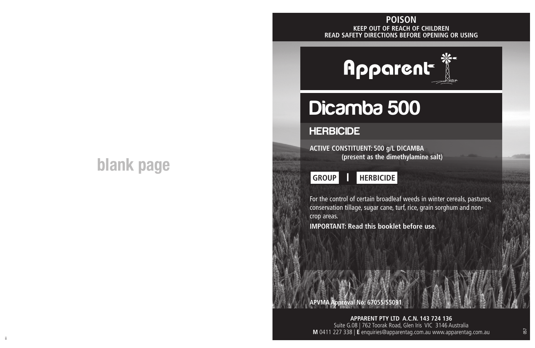#### **KEEP OUT OF REACH OF CHILDREN READ SAFETY DIRECTIONS BEFORE OPENING OR USING POISON**

## **blank page**

# **Apparent**

# Dicamba 500

### **HERBICIDE**

**ACTIVE CONSTITUENT: 500 g/L DICAMBA (present as the dimethylamine salt)**



For the control of certain broadleaf weeds in winter cereals, pastures, conservation tillage, sugar cane, turf, rice, grain sorghum and noncrop areas.

**IMPORTANT: Read this booklet before use.**

**APVMA Approval No: 67055/55091**

**APPARENT PTY LTD A.C.N. 143 724 136** Suite G.08 | 762 Toorak Road, Glen Iris VIC 3146 Australia **M** 0411 227 338 | **E** enquiries@apparentag.com.au www.apparentag.com.au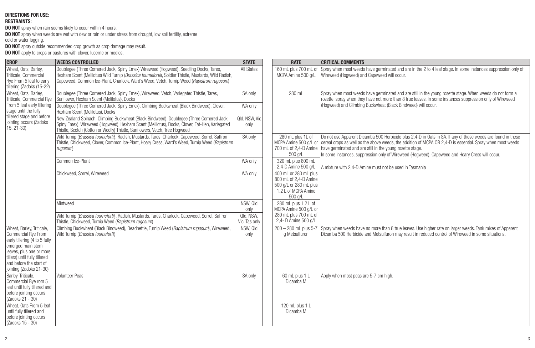#### **DIRECTIONS FOR USE:**

#### **RESTRAINTS:**

**DO NOT** spray when rain seems likely to occur within 4 hours.

**DO NOT** spray when weeds are wet with dew or rain or under stress from drought, low soil fertility, extreme cold or water logging.

**DO NOT** spray outside recommended crop growth as crop damage may result. **DO NOT** apply to crops or pastures with clover, lucerne or medics.

| <b>CROP</b>                                                                                                                                                                                                               | <b>WEEDS CONTROLLED</b>                                                                                                                                                                                                                                                                     | <b>STATE</b>               | <b>RATE</b>                                                                                                | <b>CRITICAL COMMENTS</b>                                                                                                                                                                                                                                                                                                                                                                                                               |
|---------------------------------------------------------------------------------------------------------------------------------------------------------------------------------------------------------------------------|---------------------------------------------------------------------------------------------------------------------------------------------------------------------------------------------------------------------------------------------------------------------------------------------|----------------------------|------------------------------------------------------------------------------------------------------------|----------------------------------------------------------------------------------------------------------------------------------------------------------------------------------------------------------------------------------------------------------------------------------------------------------------------------------------------------------------------------------------------------------------------------------------|
| Wheat, Oats, Barley,<br>Triticale, Commercial<br>Rye From 5 leaf to early<br>tillering (Zadoks (15-22)                                                                                                                    | Doublegee (Three Cornered Jack, Spiny Emex) Wireweed (Hogweed), Seedling Docks, Tares,<br>Hexham Scent (Melilotus) Wild Turnip (Brassica toumefortil), Soldier Thistle, Mustards, Wild Radish,<br>Capeweed, Common Ice-Plant, Charlock, Ward's Weed, Vetch, Turnip Weed (Rapistrum rugosum) | All States                 | 160 mL plus 700 mL of<br>MCPA Amine 500 a/L                                                                | Spray when most weeds have germinated and are in the 2 to 4 leaf stage. In some instances suppression only of<br>Wireweed (Hoaweed) and Capeweed will occur.                                                                                                                                                                                                                                                                           |
| Wheat, Oats, Barley,<br>Triticale, Commercial Rve<br>From 5 leaf early tillering<br>stage until the fully<br>tillered stage and before<br>iointing occurs (Zadoks<br>$15, 21 - 30$                                        | Doublegee (Three Cornered Jack, Spiny Emex), Wireweed, Vetch, Variegated Thistle, Tares,<br>Sunflower. Hexham Scent (Melilotus). Docks                                                                                                                                                      |                            | 280 mL                                                                                                     | Spray when most weeds have germinated and are still in the young rosette stage. When weeds do not form a<br>rosette, spray when they have not more than 8 true leaves. In some instances suppression only of Wireweed                                                                                                                                                                                                                  |
|                                                                                                                                                                                                                           | Doublegee (Three Cornered Jack, Spiny Emex), Climbing Buckwheat (Black Bindweed), Clover,<br>Hexham Scent (Melilotus), Docks                                                                                                                                                                | WA only                    |                                                                                                            | (Hoaweed) and Climbing Buckwheat (Black Bindweed) will occur.                                                                                                                                                                                                                                                                                                                                                                          |
|                                                                                                                                                                                                                           | New Zealand Spinach, Climbing Buckwheat (Black Bindweed), Doublegee (Three Cornered Jack,<br>Spiny Emex), Wireweed (Hoqweed), Hexham Scent (Melilotus), Docks, Clover, Fat-Hen, Variegated<br>Thistle, Scotch (Cotton or Woolly) Thistle, Sunflowers, Vetch, Tree Hogweed                   | Qld, NSW, Vic<br>only      |                                                                                                            |                                                                                                                                                                                                                                                                                                                                                                                                                                        |
|                                                                                                                                                                                                                           | Wild Turnip (Brassica toumefortil), Radish, Mustards, Tares, Charlock, Capeweed, Sorrel, Saffron<br>Thistle, Chickweed, Clover, Common Ice-Plant, Hoary Cress, Ward's Weed, Turnip Weed (Rapistrum<br>rugosum)                                                                              | SA only                    | 280 mL plus 1L of<br>500 g/L                                                                               | Do not use Apparent Dicamba 500 Herbicide plus 2,4-D in Oats in SA. If any of these weeds are found in these<br>MCPA Amine 500 g/L or cereal crops as well as the above weeds, the addition of MCPA OR 2,4-D is essential. Spray when most weeds<br>700 mL of 2,4-D Amine have germinated and are still in the young rosette stage.<br>In some instances, suppression only of Wireweed (Hogweed), Capeweed and Hoary Cress will occur. |
|                                                                                                                                                                                                                           | Common Ice-Plant                                                                                                                                                                                                                                                                            | WA only                    | 320 mL plus 800 mL<br>2.4-D Amine 500 g/L                                                                  | A mixture with 2.4-D Amine must not be used in Tasmania                                                                                                                                                                                                                                                                                                                                                                                |
|                                                                                                                                                                                                                           | Chickweed, Sorrel, Wireweed                                                                                                                                                                                                                                                                 | WA only                    | 400 mL or 280 mL plus<br>800 mL of 2.4-D Amine<br>500 g/L or 280 mL plus<br>1.2 L of MCPA Amine<br>500 g/L |                                                                                                                                                                                                                                                                                                                                                                                                                                        |
|                                                                                                                                                                                                                           | Mintweed                                                                                                                                                                                                                                                                                    | NSW, Qld<br>only           | 280 mL plus 1.2 L of<br>MCPA Amine 500 g/L or                                                              |                                                                                                                                                                                                                                                                                                                                                                                                                                        |
|                                                                                                                                                                                                                           | Wild Turnip (Brassica tournefortil), Radish, Mustards, Tares, Charlock, Capeweed, Sorrel, Saffron<br>Thistle, Chickweed, Turnip Weed (Rapistrum rugosurn)                                                                                                                                   | Qld, NSW,<br>Vic, Tas only | 280 mL plus 700 mL of<br>2,4- D Amine 500 g/L                                                              |                                                                                                                                                                                                                                                                                                                                                                                                                                        |
| Wheat, Barley, Triticale,<br>Commercial Rye From<br>early tillering (4 to 5 fully<br>emerged main stem<br>leaves, plus one or more<br>tillers) until fully tillered<br>and before the start of<br>jointing (Zadoks 21-30) | Climbing Buckwheat (Black Bindweed), Deadnettle, Turnip Weed (Rapistrum rugosum), Wireweed.<br>Wild Turnip (Brassica toumeforfi)                                                                                                                                                            | NSW, Qld<br>only           | 200 - 280 mL plus 5-7<br>a Metsulfuron                                                                     | Spray when weeds have no more than 8 true leaves. Use higher rate on larger weeds. Tank mixes of Apparent<br>Dicamba 500 Herbicide and Metsulfuron may result in reduced control of Wireweed in some situations.                                                                                                                                                                                                                       |
| Barley, Triticale,<br>Commercial Rve rom 5<br>leaf until fully tillered and<br>before jointing occurs<br>(Zadoks 21 - 30)<br>Wheat, Oats From 5 leaf<br>until fully tillered and                                          | <b>Volunteer Peas</b>                                                                                                                                                                                                                                                                       | SA only                    | 60 mL plus 1 L<br>Dicamba M<br>120 mL plus 1 L<br>Dicamba M                                                | Apply when most peas are 5-7 cm high.                                                                                                                                                                                                                                                                                                                                                                                                  |
| before jointing occurs<br>(Zadoks 15 - 30)                                                                                                                                                                                |                                                                                                                                                                                                                                                                                             |                            |                                                                                                            |                                                                                                                                                                                                                                                                                                                                                                                                                                        |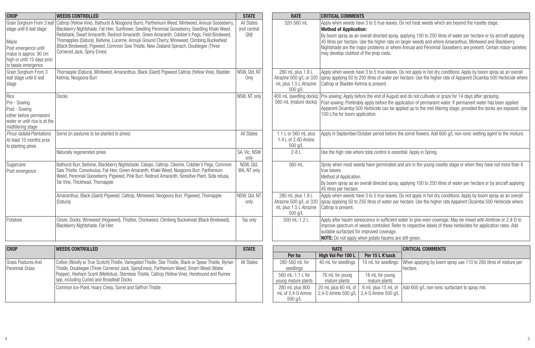| <b>CROP</b>                                                                                                                               | <b>WEEDS CONTROLLED</b>                                                                                                                                                                                                                                                                                                                                                                                                                                                                                                                        | <b>STATE</b>                       | <b>RATE</b>                                                                       | <b>CRITICAL COMMENTS</b>                                                                                                                                                                                                                                                                                                                                                                                                                                                                                                           |                                                                            |                                                                                                                                                                                                                                                              |
|-------------------------------------------------------------------------------------------------------------------------------------------|------------------------------------------------------------------------------------------------------------------------------------------------------------------------------------------------------------------------------------------------------------------------------------------------------------------------------------------------------------------------------------------------------------------------------------------------------------------------------------------------------------------------------------------------|------------------------------------|-----------------------------------------------------------------------------------|------------------------------------------------------------------------------------------------------------------------------------------------------------------------------------------------------------------------------------------------------------------------------------------------------------------------------------------------------------------------------------------------------------------------------------------------------------------------------------------------------------------------------------|----------------------------------------------------------------------------|--------------------------------------------------------------------------------------------------------------------------------------------------------------------------------------------------------------------------------------------------------------|
| stage until 6 leaf stage<br>Maize<br>Post emergence until<br>maize is approx. 90 cm<br>high or until 15 days prior<br>to tassle emergence | Grain Sorghum From 3 leaf Caltrop (Yellow Vine), Bathurst & Noogoora Burrs, Parthenium Weed, Mintweed, Annual Gooseberry,<br>Blackberry Nightshade, Fat-Hen, Sunflower, Seedling Perennial Gooseberry, Seedling Khaki Weed,<br>Redshank, Dwarf Amaranth, Redroot Amaranth, Green Amaranth, Cobbler's Pegs, Field Bindweed,<br>Thomapples (Datura), Bellvine, Lucerne, Annual Ground Cherry, Wireweed, Climbing Buckwheat<br>(Black Bindweed), Pigweed, Common Sow Thistle, New Zealand Spinach, Doublegee (Three<br>Cornered Jack, Spiny Emex) | All States<br>(not central<br>Q(d) | 320-560 mL                                                                        | Apply when weeds have 3 to 5 true leaves. Do not treat weeds which are beyond the rosette stage.<br><b>Method of Application:</b><br>By boom spray as an overall directed spray, applying 100 to 250 litres of water per hectare or by aircraft applying<br>45 litres per hectare. Use the higher rate on larger weeds and where Amaranthus, Mintweed and Blackberry<br>Nightshade are the major problems or where Annual and Perennial Gooseberry are present. Certain maize varieties<br>may develop clubfoot of the prop roots. |                                                                            |                                                                                                                                                                                                                                                              |
| Grain Sorghum From 3<br>leaf stage until 6 leaf<br>stage                                                                                  | Thornapple (Datura), Mintweed, Amaranthus, Black (Giant) Pigweed Caltrop (Yellow Vine), Bladder<br>Ketmia. Noogoora Burr                                                                                                                                                                                                                                                                                                                                                                                                                       | NSW, Qld, NT<br>Only               | 280 mL plus 1.8 L<br>mL plus 1.5 L Atrazine<br>500 g/L                            | Caltrop or Bladder Ketmia is present.                                                                                                                                                                                                                                                                                                                                                                                                                                                                                              |                                                                            | Apply when weeds have 3 to 5 true leaves. Do not apply in hot dry conditions. Apply by boom spray as an overall<br>Atrazine 500 g/L or 320 spray applying 50 to 250 litres of water per hectare. Use the higher rate of Apparent Dicamba 500 Herbicide where |
| Rice<br>Pre - Sowing<br>Post - Sowing<br>either before permanent<br>water or until rice is at the<br>midtillering stage                   | Docks                                                                                                                                                                                                                                                                                                                                                                                                                                                                                                                                          | NSW, NT only                       | 560 mL (mature docks)                                                             | 400 mL (seedling docks) Pre-sowing: Apply before the end of August and do not cultivate or graze for 14 days after spraying.<br>Post-sowing: Preferably apply before the application of permanent water. If permanent water has been applied<br>Apparent Dicamba 500 Herbicide can be applied up to the mid-tillering stage, provided the docks are exposed. Use<br>100 L/ha for boom application.                                                                                                                                 |                                                                            |                                                                                                                                                                                                                                                              |
| Pinus radiata Plantations<br>At least 10 months prior<br>to planting pines                                                                | Sorrel (in pastures to be planted to pines)                                                                                                                                                                                                                                                                                                                                                                                                                                                                                                    | All States                         | 1.1 L or 560 mL plus<br>1.4 L of 2.4D Amine<br>500 g/L                            | Apply in September/October period before the sorrel flowers. Add 600 q/L non-ionic wetting agent to the mixture.                                                                                                                                                                                                                                                                                                                                                                                                                   |                                                                            |                                                                                                                                                                                                                                                              |
|                                                                                                                                           | Naturally regenerated pines                                                                                                                                                                                                                                                                                                                                                                                                                                                                                                                    | SA, Vic, NSW<br>only               | $2 - 8$ L                                                                         | Use the high rate where total control is essential. Apply in Spring.                                                                                                                                                                                                                                                                                                                                                                                                                                                               |                                                                            |                                                                                                                                                                                                                                                              |
| Sugarcane<br>Post-emergence                                                                                                               | Bathurst Burr, Bellvine, Blackberry Nightshade, Calopo, Caltrop, Cleome, Cobbler's Pegs, Common<br>Saw Thistle, Convolvulus, Fat-Hen, Green Amaranth, Khaki Weed, Noogoora Burr, Parthenium<br>Weed, Perennial Gooseberry, Pigweed, Pink Burr, Redroot Amaranth, Sensitive Plant, Sida retusa,<br>Tar Vine, Thickhead, Thornapple                                                                                                                                                                                                              | NSW. Old.<br>WA, NT only           | 560 mL                                                                            | Spray when most weeds have germinated and are in the young rosette stage or when they have not more than 8<br>true leaves.<br>Method of Application:<br>By boom spray as an overall directed spray, applying 100 to 250 litres of water per hectare or by aircraft applying<br>45 litres per hectare.                                                                                                                                                                                                                              |                                                                            |                                                                                                                                                                                                                                                              |
|                                                                                                                                           | Amaranthus, Black (Giant) Pigweed, Caltrop, Mintweed, Noogoora Burr, Pigweed, Thomapple<br>(Datura)                                                                                                                                                                                                                                                                                                                                                                                                                                            | NSW, Qld, NT<br>only               | 280 mL plus 1.8 L<br>mL plus 1.5 L Atrazine<br>500 g/L                            | Apply when weeds have 3 to 5 true leaves. Do not apply in hot dry conditions. Apply by boom spray as an overall<br>Atrazine 500 q/L or 320 Spray applying 50 to 250 litres of water per hectare. Use the higher rate Apparent Dicamba 500 Herbicide where<br>Caltrop is present.                                                                                                                                                                                                                                                   |                                                                            |                                                                                                                                                                                                                                                              |
| Potatoes                                                                                                                                  | Clover, Docks, Wireweed (Hogweed), Thistles, Chickweed, Climbing Buckwheat (Black Bindweed),<br>Blackberry Nightshade, Fat-Hen                                                                                                                                                                                                                                                                                                                                                                                                                 | Tas only                           | 500 mL-1.2 L                                                                      | Apply after haulm senescence in sufficient water to give even coverage. May be mixed with Amitrole or 2,4-D to<br>improve spectrum of weeds controlled. Refer to respective labels of these herbicides for application rates. Add<br>suitable surfactant for improved coverage.<br><b>NOTE:</b> Do not apply when potato haulms are still green.                                                                                                                                                                                   |                                                                            |                                                                                                                                                                                                                                                              |
| <b>CROP</b>                                                                                                                               | <b>WEEDS CONTROLLED</b>                                                                                                                                                                                                                                                                                                                                                                                                                                                                                                                        | <b>STATE</b>                       |                                                                                   | <b>RATE</b>                                                                                                                                                                                                                                                                                                                                                                                                                                                                                                                        |                                                                            | <b>CRITICAL COMMENTS</b>                                                                                                                                                                                                                                     |
| <b>Grass Pastures And</b><br>Perennial Grass                                                                                              | Cotton (Woolly or True Scotch) Thistle, Variegated Thistle, Star Thistle, Black or Spear Thistle, Illyrian<br>Thistle, Doublegee (Three Cornered Jack, SpinyEmex), Parthenium Weed, Smart-Weed (Water<br>Pepper), Hexham Scent (Melilotus), Stemless Thistle, Caltrop (Yellow Vine), Horehound and Rumex<br>spp. including Curled and Broadleaf Docks                                                                                                                                                                                          | All States                         | Per ha<br>280-560 ml for<br>seedlings<br>560 ml -1.1   for<br>young mature plants | High Vol Per 100 L<br>40 mL for seedlings<br>76 mL for young<br>mature plants                                                                                                                                                                                                                                                                                                                                                                                                                                                      | Per 15 L K'sack<br>10 mL for seedlings<br>18 mL for young<br>mature plants | When applying by boom spray use 110 to 280 litres of mixture per<br>hectare.                                                                                                                                                                                 |
|                                                                                                                                           | Common Ice-Plant, Hoary Cress, Sorrel and Saffron Thistle                                                                                                                                                                                                                                                                                                                                                                                                                                                                                      |                                    | 280 mL plus 800<br>mL of 2.4-D Amine<br>500 a/L                                   | 20 mL plus 60 mL of<br>2.4-D Amine 500 a/L 2.4-D Amine 500 a/L                                                                                                                                                                                                                                                                                                                                                                                                                                                                     | 6 mL plus 15 mL of                                                         | Add 600 g/L non-ionic surfactant to spray mix.                                                                                                                                                                                                               |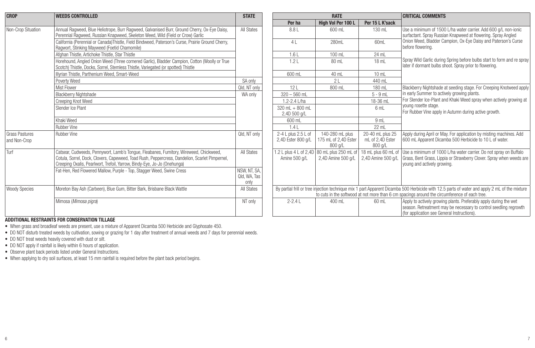| <b>CROP</b>                    | <b>WEEDS CONTROLLED</b>                                                                                                                                                                                                                                              | <b>STATE</b>                        | <b>RATE</b>                               |                                                                    |                                                 | <b>CRITICAL COMMENTS</b>                                                                                                                                                                                                                       |  |
|--------------------------------|----------------------------------------------------------------------------------------------------------------------------------------------------------------------------------------------------------------------------------------------------------------------|-------------------------------------|-------------------------------------------|--------------------------------------------------------------------|-------------------------------------------------|------------------------------------------------------------------------------------------------------------------------------------------------------------------------------------------------------------------------------------------------|--|
|                                |                                                                                                                                                                                                                                                                      |                                     | Per ha                                    | High Vol Per 100 L                                                 | Per 15 L K'sack                                 |                                                                                                                                                                                                                                                |  |
| Non-Crop Situation             | Annual Ragweed, Blue Heliotrope, Burr Ragweed, Galvanised Burr, Ground Cherry, Ox-Eye Daisy,<br>Perennial Ragweed, Russian Knapweed, Skeleton Weed, Wild (Field or Crow) Garlic                                                                                      | All States                          | 8.81                                      | 600 ml                                                             | 130 mL                                          | Use a minimum of 1500 L/ha water carrier. Add 600 g/L non-ionic<br>surfactant. Spray Russian Knapweed at flowering. Spray Angled                                                                                                               |  |
|                                | California (Perennial or Canada)Thistle, Field Bindweed, Paterson's Curse, Prairie Ground Cherry,<br>Ragwort, Stinking Mayweed (Foetid Chamomile)                                                                                                                    |                                     | 4 <sub>1</sub>                            | 280mL                                                              | 60ml                                            | Onion Weed. Bladder Campion. Ox-Eve Daisy and Paterson's Curse<br>before flowering.                                                                                                                                                            |  |
|                                | Afghan Thistle, Artichoke Thistle, Star Thistle                                                                                                                                                                                                                      |                                     | 1.61                                      | 100 mL                                                             | 24 ml                                           |                                                                                                                                                                                                                                                |  |
|                                | Horehound, Angled Onion Weed (Three cornered Garlic), Bladder Campion, Cotton (Woolly or True<br>Scotch) Thistle, Docks, Sorrel, Stemless Thistle, Variegated (or spotted) Thistle                                                                                   |                                     | 1.2L                                      | 80 mL                                                              | 18 mL                                           | Spray Wild Garlic during Spring before bulbs start to form and re spray<br>I later if dormant bulbs shoot. Spray prior to flowering.                                                                                                           |  |
|                                | Illvrian Thistle, Parthenium Weed, Smart-Weed                                                                                                                                                                                                                        |                                     | 600 mL                                    | 40 mL                                                              | 10 mL                                           |                                                                                                                                                                                                                                                |  |
|                                | Poverty Weed                                                                                                                                                                                                                                                         | SA only                             |                                           | 21                                                                 | 440 mL                                          |                                                                                                                                                                                                                                                |  |
|                                | Mist Flower                                                                                                                                                                                                                                                          | Qld. NT only                        | 12L                                       | 800 mL                                                             | 180 mL                                          | Blackberry Nightshade at seeding stage. For Creeping Knotweed apply                                                                                                                                                                            |  |
|                                | <b>Blackberry Nightshade</b>                                                                                                                                                                                                                                         | WA only                             | $320 - 560$ mL                            |                                                                    | $5 - 9$ mL                                      | in early Summer to actively growing plants.                                                                                                                                                                                                    |  |
|                                | Creeping Knot Weed                                                                                                                                                                                                                                                   |                                     | 1.2-2.4 L/ha                              |                                                                    | 18-36 mL                                        | For Slender Ice-Plant and Khaki Weed spray when actively growing at                                                                                                                                                                            |  |
|                                | Slender Ice Plant                                                                                                                                                                                                                                                    |                                     | 320 mL $+$ 800 mL<br>2,4D 500 g/L         |                                                                    | 6 mL                                            | voung rosette stage.<br>For Rubber Vine apply in Autumn during active growth.                                                                                                                                                                  |  |
|                                | Khaki Weed                                                                                                                                                                                                                                                           |                                     | 600 mL                                    |                                                                    | 9 <sub>ml</sub>                                 |                                                                                                                                                                                                                                                |  |
|                                | Rubber Vine                                                                                                                                                                                                                                                          |                                     | 1.4L                                      |                                                                    | 22 mL                                           |                                                                                                                                                                                                                                                |  |
| Grass Pastures<br>and Non-Crop | Rubber Vine                                                                                                                                                                                                                                                          | Qld. NT only                        | 2-4 L plus 2.5 L of<br>2,4D Ester 800 g/L | 140-280 mL plus<br>175 mL of 2.4D Ester<br>800 g/L                 | 20-40 mL plus 25<br>mL of 2.4D Ester<br>800 g/L | Apply during April or May. For application by misting machines. Add<br>1600 mL Apparent Dicamba 500 Herbicide to 10 L of water.                                                                                                                |  |
| Turf                           | Catsear, Cudweeds, Pennywort, Lamb's Tongue, Fleabanes, Fumitory, Wireweed, Chickweed,<br>Cotula, Sorrel, Dock, Clovers, Capeweed, Toad Rush, Peppercress, Dandelion, Scarlet Pimpernel,<br>Creeping Oxalis, Pearlwort, Trefoil, Yarrow, Bindy-Eye, Jo-Jo (Onehunga) | All States                          | Amine 500 g/L                             | 1.2 L plus 4 L of 2,4D   80 mL plus 250 mL o<br>2.4D Amine 500 a/L | 18 mL plus 60 mL of<br>2,4D Amine 500 g/L       | Use a minimum of 1000 L/ha water carrier. Do not spray on Buffalo<br>Grass, Bent Grass, Lippia or Strawberry Clover. Spray when weeds are<br>voung and actively growing.                                                                       |  |
|                                | Fat-Hen, Red Flowered Mallow, Purple - Top, Stagger Weed, Swine Cress                                                                                                                                                                                                | NSW, NT, SA,<br>Old, WA, Tas<br>onh |                                           |                                                                    |                                                 |                                                                                                                                                                                                                                                |  |
| <b>Woody Species</b>           | Moreton Bay Ash (Carbeen), Blue Gum, Bitter Bark, Brisbane Black Wattle                                                                                                                                                                                              | All States                          |                                           |                                                                    |                                                 | By partial frill or tree injection technique mix 1 part Apparent Dicamba 500 Herbicide with 12.5 parts of water and apply 2 mL of the mixture<br>to cuts in the softwood at not more than 6 cm spacings around the circumference of each tree. |  |
|                                | Mimosa (Mimosa pigra)                                                                                                                                                                                                                                                | NT only                             | $2 - 2.4 L$                               | 400 ml                                                             | 60 mL                                           | Apply to actively growing plants. Preferably apply during the wet<br>season. Retreatment may be necessary to control seedling regrowth<br>for application see General Instructions).                                                           |  |

#### **ADDITIONAL RESTRAINTS FOR CONSERVATION TILLAGE**

• When grass and broadleaf weeds are present, use a mixture of Apparent Dicamba 500 Herbicide and Glyphosate 450.

• DO NOT disturb treated weeds by cultivation, sowing or grazing for 1 day after treatment of annual weeds and 7 days for perennial weeds.

• DO NOT treat weeds heavily covered with dust or silt.

• DO NOT apply if rainfall is likely within 6 hours of application.

• Observe plant back periods listed under General Instructions.

• When applying to dry soil surfaces, at least 15 mm rainfall is required before the plant back period begins.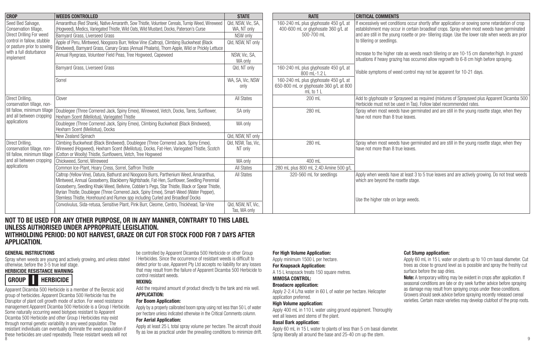| <b>CROP</b>                                                                                          | <b>WEEDS CONTROLLED</b>                                                                                                                                                                                                                                                                                                                                                                                                                                                   | <b>STATE</b>                                                       | <b>RATE</b>                                                                                   | <b>CRITICAL COMMENTS</b>                                                                                                                                                                                                                                                                                                          |
|------------------------------------------------------------------------------------------------------|---------------------------------------------------------------------------------------------------------------------------------------------------------------------------------------------------------------------------------------------------------------------------------------------------------------------------------------------------------------------------------------------------------------------------------------------------------------------------|--------------------------------------------------------------------|-----------------------------------------------------------------------------------------------|-----------------------------------------------------------------------------------------------------------------------------------------------------------------------------------------------------------------------------------------------------------------------------------------------------------------------------------|
| Seed Bed Salvage,<br>Conservation tillage.<br>Direct Drilling For weed<br>control in fallow, stubble | Amaranthus (Red Shank), Native Amaranth, Sow Thistle, Volunteer Cereals, Turnip Weed, Wireweed<br>Hooweed), Medics, Variegated Thistle, Wild Oats, Wild Mustard, Docks, Paterson's Curse<br>Barnvard Grass, Liverseed Grass<br>Apple of Peru, Mintweed, Noogoora Burr, Yellow Vine (Caltrop), Climbing Buckwheat (Black<br>or pasture prior to sowing   Bindweed), Barnyard Grass, Canary Grass (Annual Phalaris), Thorn Apple, Wild or Prickly Lettuce                   | Qld. NSW. Vic. SA.<br>WA. NT only<br>NSW only<br>Qld. NSW. NT only | 160-240 mL plus glyphosate 450 g/L at<br>400-600 mL or glyphosate 360 g/L at<br>500-700 ml    | If excessively wet conditions occur shortly after application or sowing some retardation of crop<br>establishment may occur in certain broadleaf crops. Spray when most weeds have germinated<br>and are still in the young rosette or pre-tillering stage. Use the lower rate when weeds are prior<br>to tillering or seedlings. |
| with a full disturbance<br>implement                                                                 | Annual Ryegrass, Volunteer Field Peas, Tree Hogweed, Capeweed                                                                                                                                                                                                                                                                                                                                                                                                             | NSW. Vic. SA.<br>WA only                                           |                                                                                               | Increase to the higher rate as weeds reach tillering or are 10-15 cm diameter/high. In grazed<br>situations if heavy grazing has occurred allow regrowth to 6-8 cm high before spraying.                                                                                                                                          |
|                                                                                                      | Barnyard Grass, Liverseed Grass                                                                                                                                                                                                                                                                                                                                                                                                                                           | Qld, NT only                                                       | 160-240 mL plus glyphosate 450 g/L at<br>800 mL-1.2 L                                         | Visible symptoms of weed control may not be apparent for 10-21 days.                                                                                                                                                                                                                                                              |
|                                                                                                      | Sorrel                                                                                                                                                                                                                                                                                                                                                                                                                                                                    | WA, SA, Vic, NSW<br>only                                           | 160-240 mL plus glyphosate 450 g/L at<br>650-800 mL or glyphosate 360 g/L at 800<br>mL to 1 L |                                                                                                                                                                                                                                                                                                                                   |
| Direct Drilling,<br>conservation tillage, non-                                                       | Clover                                                                                                                                                                                                                                                                                                                                                                                                                                                                    | <b>All States</b>                                                  | 200 mL                                                                                        | Add to glyphosate or Sprayseed as required (mixtures of Sprayseed plus Apparent Dicamba 500<br>Herbicide must not be used in Tas). Follow label recommended rates.                                                                                                                                                                |
| and all between cropping                                                                             | till fallow, minimum tillage Doublegee (Three Cornered Jack, Spiny Emex), Wireweed, Vetch, Docks, Tares, Sunflower,<br>Hexham Scent (Melilotus), Variegated Thistle                                                                                                                                                                                                                                                                                                       | SA only                                                            | 280 mL                                                                                        | Spray when most weeds have germinated and are still in the young rosette stage, when they<br>have not more than 8 true leaves.                                                                                                                                                                                                    |
| applications                                                                                         | Doublegee (Three Cornered Jack, Spiny Emex), Climbing Buckwheat (Black Bindweed),<br>Hexharn Scent (Melilotus), Docks                                                                                                                                                                                                                                                                                                                                                     | WA only                                                            |                                                                                               |                                                                                                                                                                                                                                                                                                                                   |
|                                                                                                      | New Zealand Spinach                                                                                                                                                                                                                                                                                                                                                                                                                                                       | Qld, NSW, NT only                                                  |                                                                                               |                                                                                                                                                                                                                                                                                                                                   |
| Direct Drilling.<br>conservation tillage, non-                                                       | Climbing Buckwheat (Black Bindweed), Doublegee (Three Cornered Jack, Spiny Emex),<br>Wireweed (Hogweed), Hexharn Scent (Melilotus), Docks, Fat-Hen, Variegated Thistle, Scotch<br>till fallow, minimum tillage   (Cotton or Woolly) Thistle, Sunflowers, Vetch, Tree Hogweed                                                                                                                                                                                              | Old, NSW, Tas, Vic.<br>NT only                                     | 280 mL                                                                                        | Spray when most weeds have germinated and are still in the young rosette stage, when they<br>have not more than 8 true leaves.                                                                                                                                                                                                    |
| and all between cropping                                                                             | Chickweed, Sorrel, Wireweed                                                                                                                                                                                                                                                                                                                                                                                                                                               | WA only                                                            | 400 ml                                                                                        |                                                                                                                                                                                                                                                                                                                                   |
| applications                                                                                         | Common Ice-Plant. Hoarv Cress. Sorrel. Saffron Thistle                                                                                                                                                                                                                                                                                                                                                                                                                    | <b>All States</b>                                                  | 280 mL plus 800 mL 2.4D Amine 500 a/l                                                         |                                                                                                                                                                                                                                                                                                                                   |
|                                                                                                      | Caltrop (Yellow Vine), Datura, Bathurst and Noogoora Burrs, Parthenium Weed, Amaranthus,<br>Mintweed, Annual Gooseberry, Blackberry Nightshade, Fat-Hen, Sunflower, Seedling Perennial<br>Gooseberry, Seedling Khaki Weed, Bellvine, Cobbler's Pegs, Star Thistle, Black or Spear Thistle,<br>Illyrian Thistle, Doublegee (Three Cornered Jack, Spiny Emex), Smart-Weed (Water Pepper),<br>Stemless Thistle. Horehound and Rumex sop including Curled and Broadleaf Docks | <b>All States</b>                                                  | 320-560 mL for seedlings                                                                      | Apply when weeds have at least 3 to 5 true leaves and are actively growing. Do not treat weeds<br>which are bevond the rosette stage.<br>Use the higher rate on large weeds.                                                                                                                                                      |
|                                                                                                      | Convolvulus, Sida-retusa, Sensitive Plant, Pink Burr, Cleome, Centro, Thickhead, Tar-Vine                                                                                                                                                                                                                                                                                                                                                                                 | Qld. NSW. NT. Vic.<br>Tas, WA only                                 |                                                                                               |                                                                                                                                                                                                                                                                                                                                   |

#### **NOT TO BE USED FOR ANY OTHER PURPOSE, OR IN ANY MANNER, CONTRARY TO THIS LABEL UNLESS AUTHORISED UNDER APPROPRIATE LEGISLATION.**

#### **WITHHOLDING PERIOD: DO NOT HARVEST, GRAZE OR CUT FOR STOCK FOOD FOR 7 DAYS AFTER APPLICATION.**

#### **GENERAL INSTRUCTIONS**

Spray when weeds are young and actively growing, and unless stated otherwise, before the 3-5 true leaf stage.

#### **HERBICIDE RESISTANCE WARNING HERBICIDE I GROUP**

8 a contract the contract of the contract of the contract of the contract of the contract of the contract of the contract of the contract of the contract of the contract of the contract of the contract of the contract of t Apparent Dicamba 500 Herbicide is a member of the Benzoic acid group of herbicides. Apparent Dicamba 500 Herbicide has the Disruptor of plant cell growth mode of action. For weed resistance management Apparent Dicamba 500 Herbicide is a Group I Herbicide. Some naturally occurring weed biotypes resistant to Apparent Dicamba 500 Herbicide and other Group I Herbicides may exist through normal genetic variability in any weed population. The resistant individuals can eventually dominate the weed population if these herbicides are used repeatedly. These resistant weeds will not

be controlled by Apparent Dicamba 500 Herbicide or other Group I Herbicides. Since the occurrence of resistant weeds is difficult to detect prior to use, Apparent Pty Ltd accepts no liability for any losses that may result from the failure of Apparent Dicamba 500 Herbicide to control resistant weeds.

#### **MIXING:**

Add the required amount of product directly to the tank and mix well. **APPLICATION:**

#### **For Boom Application:**

Apply by a properly calibrated boom spray using not less than 50 L of water per hectare unless indicated otherwise in the Critical Comments column.

#### **For Aerial Application:**

Apply at least 25 L total spray volume per hectare. The aircraft should fly as low as practical under the prevailing conditions to minimize drift.

#### **For High Volume Application:**

Apply minimum 1500 L per hectare.

#### **For Knapsack Application:**

A 15 L knapsack treats 150 square metres.

#### **MIMOSA CONTROL:**

#### **Broadacre application:**

Apply 2-2.4 L/ha water in 60 L of water per hectare. Helicopter application preferred.

#### **High Volume application:**

Apply 400 mL in 110 L water using ground equipment. Thoroughly wet all leaves and stems of the plant.

#### **Basal Bark application:**

Apply 60 mL in 15 L water to plants of less than 5 cm basal diameter. Spray liberally all around the base and 25-40 cm up the stem.

#### **Cut Stump application:**

Apply 60 mL in 15 L water on plants up to 10 cm basal diameter. Cut trees as close to ground level as is possible and spray the freshly cut surface before the sap dries.

**Note:** A temporary wilting may be evident in crops after application. If seasonal conditions are late or dry seek further advice before spraying as damage may result from spraying crops under these conditions. Growers should seek advice before spraying recently released cereal varieties. Certain maize varieties may develop clubfoot of the prop roots.